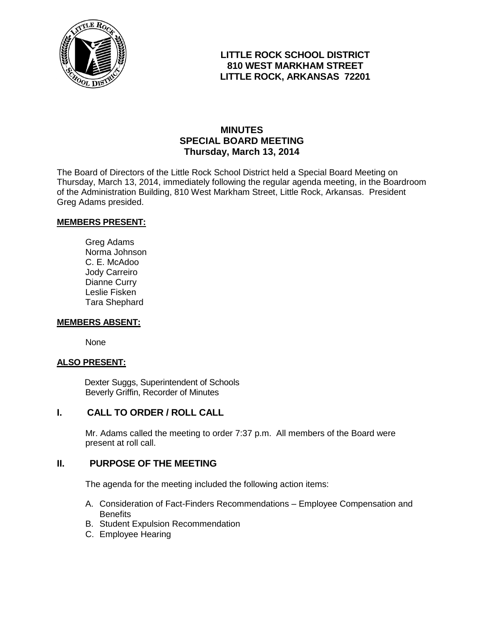

# **LITTLE ROCK SCHOOL DISTRICT 810 WEST MARKHAM STREET LITTLE ROCK, ARKANSAS 72201**

## **MINUTES SPECIAL BOARD MEETING Thursday, March 13, 2014**

The Board of Directors of the Little Rock School District held a Special Board Meeting on Thursday, March 13, 2014, immediately following the regular agenda meeting, in the Boardroom of the Administration Building, 810 West Markham Street, Little Rock, Arkansas. President Greg Adams presided.

#### **MEMBERS PRESENT:**

Greg Adams Norma Johnson C. E. McAdoo Jody Carreiro Dianne Curry Leslie Fisken Tara Shephard

#### **MEMBERS ABSENT:**

None

#### **ALSO PRESENT:**

 Dexter Suggs, Superintendent of Schools Beverly Griffin, Recorder of Minutes

#### **I. CALL TO ORDER / ROLL CALL**

Mr. Adams called the meeting to order 7:37 p.m. All members of the Board were present at roll call.

### **II. PURPOSE OF THE MEETING**

The agenda for the meeting included the following action items:

- A. Consideration of Fact-Finders Recommendations Employee Compensation and **Benefits**
- B. Student Expulsion Recommendation
- C. Employee Hearing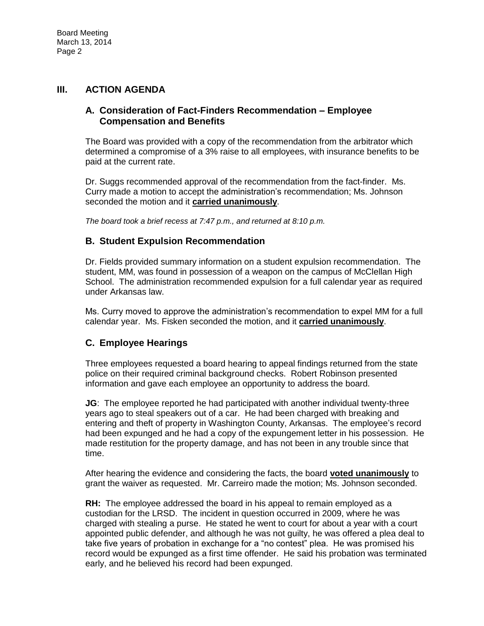## **III. ACTION AGENDA**

### **A. Consideration of Fact-Finders Recommendation – Employee Compensation and Benefits**

The Board was provided with a copy of the recommendation from the arbitrator which determined a compromise of a 3% raise to all employees, with insurance benefits to be paid at the current rate.

Dr. Suggs recommended approval of the recommendation from the fact-finder. Ms. Curry made a motion to accept the administration's recommendation; Ms. Johnson seconded the motion and it **carried unanimously**.

*The board took a brief recess at 7:47 p.m., and returned at 8:10 p.m.*

### **B. Student Expulsion Recommendation**

Dr. Fields provided summary information on a student expulsion recommendation. The student, MM, was found in possession of a weapon on the campus of McClellan High School. The administration recommended expulsion for a full calendar year as required under Arkansas law.

Ms. Curry moved to approve the administration's recommendation to expel MM for a full calendar year. Ms. Fisken seconded the motion, and it **carried unanimously**.

#### **C. Employee Hearings**

Three employees requested a board hearing to appeal findings returned from the state police on their required criminal background checks. Robert Robinson presented information and gave each employee an opportunity to address the board.

**JG**: The employee reported he had participated with another individual twenty-three years ago to steal speakers out of a car. He had been charged with breaking and entering and theft of property in Washington County, Arkansas. The employee's record had been expunged and he had a copy of the expungement letter in his possession. He made restitution for the property damage, and has not been in any trouble since that time.

After hearing the evidence and considering the facts, the board **voted unanimously** to grant the waiver as requested. Mr. Carreiro made the motion; Ms. Johnson seconded.

**RH:** The employee addressed the board in his appeal to remain employed as a custodian for the LRSD. The incident in question occurred in 2009, where he was charged with stealing a purse. He stated he went to court for about a year with a court appointed public defender, and although he was not guilty, he was offered a plea deal to take five years of probation in exchange for a "no contest" plea. He was promised his record would be expunged as a first time offender. He said his probation was terminated early, and he believed his record had been expunged.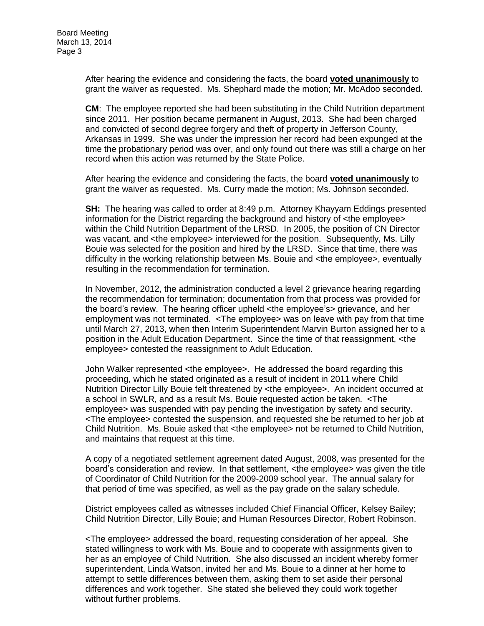After hearing the evidence and considering the facts, the board **voted unanimously** to grant the waiver as requested. Ms. Shephard made the motion; Mr. McAdoo seconded.

**CM**: The employee reported she had been substituting in the Child Nutrition department since 2011. Her position became permanent in August, 2013. She had been charged and convicted of second degree forgery and theft of property in Jefferson County, Arkansas in 1999. She was under the impression her record had been expunged at the time the probationary period was over, and only found out there was still a charge on her record when this action was returned by the State Police.

After hearing the evidence and considering the facts, the board **voted unanimously** to grant the waiver as requested. Ms. Curry made the motion; Ms. Johnson seconded.

**SH:** The hearing was called to order at 8:49 p.m. Attorney Khayyam Eddings presented information for the District regarding the background and history of <the employee> within the Child Nutrition Department of the LRSD. In 2005, the position of CN Director was vacant, and <the employee> interviewed for the position. Subsequently, Ms. Lilly Bouie was selected for the position and hired by the LRSD. Since that time, there was difficulty in the working relationship between Ms. Bouie and <the employee>, eventually resulting in the recommendation for termination.

In November, 2012, the administration conducted a level 2 grievance hearing regarding the recommendation for termination; documentation from that process was provided for the board's review. The hearing officer upheld <the employee's> grievance, and her employment was not terminated. <The employee> was on leave with pay from that time until March 27, 2013, when then Interim Superintendent Marvin Burton assigned her to a position in the Adult Education Department. Since the time of that reassignment, <the employee> contested the reassignment to Adult Education.

John Walker represented <the employee>. He addressed the board regarding this proceeding, which he stated originated as a result of incident in 2011 where Child Nutrition Director Lilly Bouie felt threatened by <the employee>. An incident occurred at a school in SWLR, and as a result Ms. Bouie requested action be taken. <The employee> was suspended with pay pending the investigation by safety and security. <The employee> contested the suspension, and requested she be returned to her job at Child Nutrition. Ms. Bouie asked that <the employee> not be returned to Child Nutrition, and maintains that request at this time.

A copy of a negotiated settlement agreement dated August, 2008, was presented for the board's consideration and review. In that settlement, <the employee> was given the title of Coordinator of Child Nutrition for the 2009-2009 school year. The annual salary for that period of time was specified, as well as the pay grade on the salary schedule.

District employees called as witnesses included Chief Financial Officer, Kelsey Bailey; Child Nutrition Director, Lilly Bouie; and Human Resources Director, Robert Robinson.

<The employee> addressed the board, requesting consideration of her appeal. She stated willingness to work with Ms. Bouie and to cooperate with assignments given to her as an employee of Child Nutrition. She also discussed an incident whereby former superintendent, Linda Watson, invited her and Ms. Bouie to a dinner at her home to attempt to settle differences between them, asking them to set aside their personal differences and work together. She stated she believed they could work together without further problems.